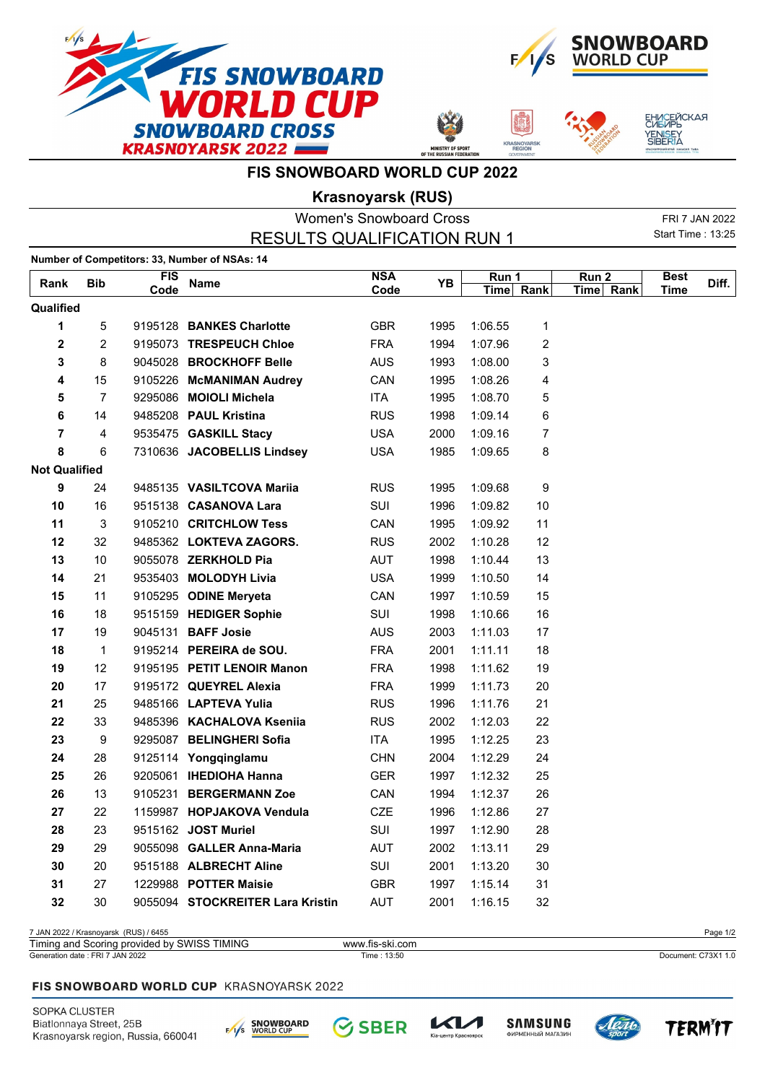



**ASNOYA** 

ЕНИСЕЙСКАЯ<br>СИБИРЬ

YENI<mark>S</mark>EY<br>SIBERIA

**FIS SNOWBOARD WORLD CUP 2022**

**Krasnoyarsk (RUS)**

| <b>Women's Snowboard Cross</b> |                |                    |                                               |                    |      | FRI 7 JAN 2022 |           |                               |                     |       |
|--------------------------------|----------------|--------------------|-----------------------------------------------|--------------------|------|----------------|-----------|-------------------------------|---------------------|-------|
|                                |                |                    | <b>RESULTS QUALIFICATION RUN 1</b>            |                    |      |                |           |                               | Start Time: 13:25   |       |
|                                |                |                    | Number of Competitors: 33, Number of NSAs: 14 |                    |      |                |           |                               |                     |       |
| Rank                           | <b>Bib</b>     | <b>FIS</b><br>Code | <b>Name</b>                                   | <b>NSA</b><br>Code | ΥB   | Run 1          | Time Rank | Run <sub>2</sub><br>Time Rank | <b>Best</b><br>Time | Diff. |
| Qualified                      |                |                    |                                               |                    |      |                |           |                               |                     |       |
| 1                              | 5              |                    | 9195128 BANKES Charlotte                      | <b>GBR</b>         | 1995 | 1:06.55        | 1         |                               |                     |       |
| $\mathbf 2$                    | $\overline{2}$ |                    | 9195073 TRESPEUCH Chloe                       | <b>FRA</b>         | 1994 | 1:07.96        | 2         |                               |                     |       |
| 3                              | 8              |                    | 9045028 BROCKHOFF Belle                       | <b>AUS</b>         | 1993 | 1:08.00        | 3         |                               |                     |       |
| 4                              | 15             |                    | 9105226 McMANIMAN Audrey                      | CAN                | 1995 | 1:08.26        | 4         |                               |                     |       |
| 5                              | $\overline{7}$ |                    | 9295086 MOIOLI Michela                        | <b>ITA</b>         | 1995 | 1:08.70        | 5         |                               |                     |       |
| 6                              | 14             |                    | 9485208 PAUL Kristina                         | <b>RUS</b>         | 1998 | 1:09.14        | 6         |                               |                     |       |
| 7                              | 4              |                    | 9535475 GASKILL Stacy                         | <b>USA</b>         | 2000 | 1:09.16        | 7         |                               |                     |       |
| 8                              | 6              |                    | 7310636 JACOBELLIS Lindsey                    | <b>USA</b>         | 1985 | 1:09.65        | 8         |                               |                     |       |
| <b>Not Qualified</b>           |                |                    |                                               |                    |      |                |           |                               |                     |       |
| 9                              | 24             |                    | 9485135 VASILTCOVA Mariia                     | <b>RUS</b>         | 1995 | 1:09.68        | 9         |                               |                     |       |
| 10                             | 16             |                    | 9515138 CASANOVA Lara                         | SUI                | 1996 | 1:09.82        | 10        |                               |                     |       |
| 11                             | 3              |                    | 9105210 CRITCHLOW Tess                        | CAN                | 1995 | 1:09.92        | 11        |                               |                     |       |
| 12                             | 32             |                    | 9485362 LOKTEVA ZAGORS.                       | <b>RUS</b>         | 2002 | 1:10.28        | 12        |                               |                     |       |
| 13                             | 10             |                    | 9055078 ZERKHOLD Pia                          | <b>AUT</b>         | 1998 | 1:10.44        | 13        |                               |                     |       |
| 14                             | 21             |                    | 9535403 MOLODYH Livia                         | <b>USA</b>         | 1999 | 1:10.50        | 14        |                               |                     |       |
| 15                             | 11             |                    | 9105295 ODINE Meryeta                         | CAN                | 1997 | 1:10.59        | 15        |                               |                     |       |
| 16                             | 18             |                    | 9515159 HEDIGER Sophie                        | SUI                | 1998 | 1:10.66        | 16        |                               |                     |       |
| 17                             | 19             |                    | 9045131 <b>BAFF Josie</b>                     | <b>AUS</b>         | 2003 | 1:11.03        | 17        |                               |                     |       |
| 18                             | 1              |                    | 9195214 PEREIRA de SOU.                       | <b>FRA</b>         | 2001 | 1:11.11        | 18        |                               |                     |       |
| 19                             | 12             |                    | 9195195 PETIT LENOIR Manon                    | <b>FRA</b>         | 1998 | 1:11.62        | 19        |                               |                     |       |
| 20                             | 17             |                    | 9195172 QUEYREL Alexia                        | <b>FRA</b>         | 1999 | 1:11.73        | 20        |                               |                     |       |
| 21                             | 25             |                    | 9485166 LAPTEVA Yulia                         | <b>RUS</b>         | 1996 | 1:11.76        | 21        |                               |                     |       |
| 22                             | 33             |                    | 9485396 KACHALOVA Kseniia                     | <b>RUS</b>         | 2002 | 1:12.03        | 22        |                               |                     |       |
| 23                             | 9              |                    | 9295087 BELINGHERI Sofia                      | <b>ITA</b>         | 1995 | 1:12.25        | 23        |                               |                     |       |
| 24                             | 28             |                    | 9125114 Yongqinglamu                          | <b>CHN</b>         | 2004 | 1:12.29        | 24        |                               |                     |       |
| 25                             | 26             |                    | 9205061 IHEDIOHA Hanna                        | <b>GER</b>         | 1997 | 1:12.32        | 25        |                               |                     |       |
| 26                             | 13             |                    | 9105231 BERGERMANN Zoe                        | CAN                | 1994 | 1:12.37        | 26        |                               |                     |       |
| 27                             | 22             |                    | 1159987 HOPJAKOVA Vendula                     | CZE                | 1996 | 1:12.86        | 27        |                               |                     |       |
| 28                             | 23             |                    | 9515162 JOST Muriel                           | SUI                | 1997 | 1:12.90        | 28        |                               |                     |       |
| 29                             | 29             |                    | 9055098 GALLER Anna-Maria                     | <b>AUT</b>         | 2002 | 1:13.11        | 29        |                               |                     |       |
| 30                             | 20             |                    | 9515188 ALBRECHT Aline                        | SUI                | 2001 | 1:13.20        | 30        |                               |                     |       |
| 31                             | 27             |                    | 1229988 POTTER Maisie                         | <b>GBR</b>         | 1997 | 1:15.14        | 31        |                               |                     |       |
| 32                             | 30             |                    | 9055094 STOCKREITER Lara Kristin              | AUT                | 2001 | 1:16.15        | 32        |                               |                     |       |

7 JAN 2022 / Krasnoyarsk (RUS) / 6455 Page 1/2

| Timing and<br>TIMING<br>SWISS.<br>Scoring provided by 1 | www.fis-ski.com |                          |
|---------------------------------------------------------|-----------------|--------------------------|
| <b>JAN 2022</b><br>Generation date: FRI                 | 13:50<br>Time : | . C73X1 1.0<br>Document: |

## FIS SNOWBOARD WORLD CUP KRASNOYARSK 2022

SOPKA CLUSTER Biatlonnaya Street, 25B Krasnoyarsk region, Russia, 660041